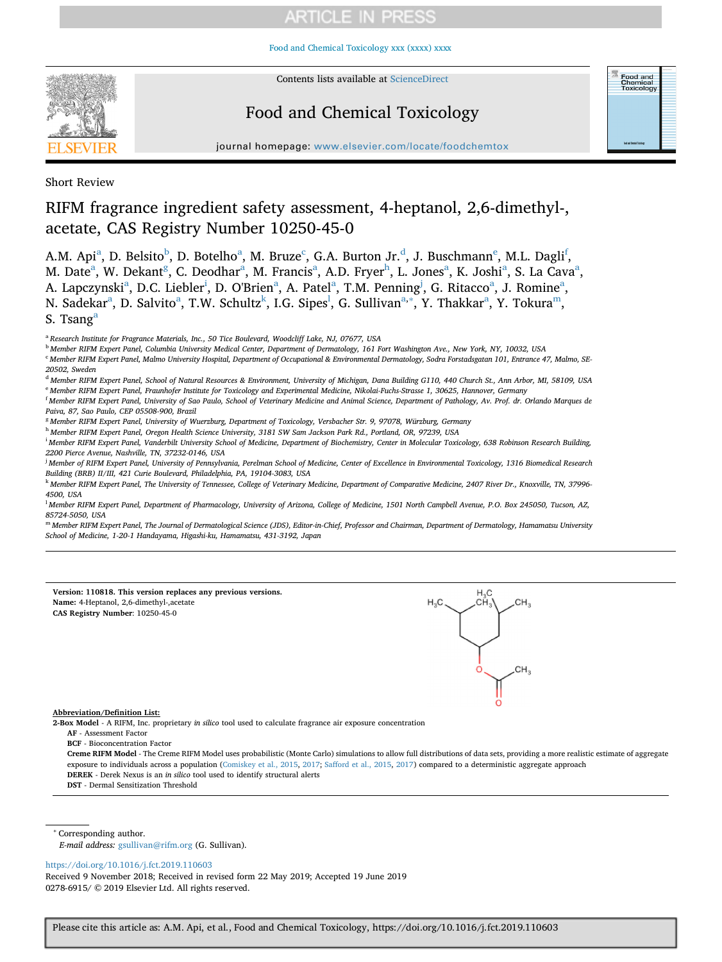[Food and Chemical Toxicology xxx \(xxxx\) xxxx](https://doi.org/10.1016/j.fct.2019.110603)



Contents lists available at [ScienceDirect](http://www.sciencedirect.com/science/journal/02786915)

## Food and Chemical Toxicology



journal homepage: [www.elsevier.com/locate/foodchemtox](https://www.elsevier.com/locate/foodchemtox)

Short Review

## RIFM fragrance ingredient safety assessment, 4-heptanol, 2,6-dimethyl-, acetate, CAS Registry Number 10250-45-0

A.M. Api<sup>[a](#page-0-0)</sup>, D. Belsito<sup>b</sup>, D. Botelho<sup>a</sup>, M. Bruze<sup>[c](#page-0-2)</sup>, G.A. Burton Jr.<sup>d</sup>, J. Buschmann<sup>[e](#page-0-4)</sup>, M.L. Dagli<sup>f</sup>, M. D[a](#page-0-0)te<sup>a</sup>, W. Dekant<sup>[g](#page-0-6)</sup>, C. Deodhar<sup>a</sup>, M. Francis<sup>a</sup>, A.D. Fryer<sup>h</sup>, L. Jones<sup>a</sup>, K. Joshi<sup>a</sup>, S. La Cava<sup>a</sup>, A. L[a](#page-0-0)pczynsk[i](#page-0-8)<sup>a</sup>, D.C. Liebler<sup>i</sup>, D. O'Brien<sup>a</sup>, A. Patel<sup>a</sup>, T.M. Penning<sup>[j](#page-0-9)</sup>, G. Ritacco<sup>a</sup>, J. Romine<sup>a</sup>, N. S[a](#page-0-0)dekar<sup>a</sup>, D. Salvito<sup>a</sup>, T.W. Schultz<sup>k</sup>, I.G. Sipes<sup>l</sup>, G. Sullivan<sup>a,</sup>\*, Y. Thakkar<sup>a</sup>, Y. Tokura<sup>m</sup>, S. Tsang<sup>a</sup>

<span id="page-0-0"></span><sup>a</sup> *Research Institute for Fragrance Materials, Inc., 50 Tice Boulevard, Woodcliff Lake, NJ, 07677, USA*

<span id="page-0-1"></span><sup>b</sup> *Member RIFM Expert Panel, Columbia University Medical Center, Department of Dermatology, 161 Fort Washington Ave., New York, NY, 10032, USA*

<span id="page-0-2"></span><sup>c</sup> Member RIFM Expert Panel, Malmo University Hospital, Department of Occupational & Environmental Dermatology, Sodra Forstadsgatan 101, Entrance 47, Malmo, SE-*20502, Sweden*

<span id="page-0-4"></span><span id="page-0-3"></span><sup>d</sup> *Member RIFM Expert Panel, School of Natural Resources & Environment, University of Michigan, Dana Building G110, 440 Church St., Ann Arbor, MI, 58109, USA* <sup>e</sup> *Member RIFM Expert Panel, Fraunhofer Institute for Toxicology and Experimental Medicine, Nikolai-Fuchs-Strasse 1, 30625, Hannover, Germany*

<span id="page-0-5"></span>f *Member RIFM Expert Panel, University of Sao Paulo, School of Veterinary Medicine and Animal Science, Department of Pathology, Av. Prof. dr. Orlando Marques de Paiva, 87, Sao Paulo, CEP 05508-900, Brazil*

<span id="page-0-6"></span><sup>g</sup> *Member RIFM Expert Panel, University of Wuerzburg, Department of Toxicology, Versbacher Str. 9, 97078, Würzburg, Germany*

<span id="page-0-7"></span><sup>h</sup> *Member RIFM Expert Panel, Oregon Health Science University, 3181 SW Sam Jackson Park Rd., Portland, OR, 97239, USA*

<span id="page-0-8"></span>i *Member RIFM Expert Panel, Vanderbilt University School of Medicine, Department of Biochemistry, Center in Molecular Toxicology, 638 Robinson Research Building, 2200 Pierce Avenue, Nashville, TN, 37232-0146, USA*

<span id="page-0-9"></span>j *Member of RIFM Expert Panel, University of Pennsylvania, Perelman School of Medicine, Center of Excellence in Environmental Toxicology, 1316 Biomedical Research Building (BRB) II/III, 421 Curie Boulevard, Philadelphia, PA, 19104-3083, USA*

<span id="page-0-10"></span><sup>k</sup> *Member RIFM Expert Panel, The University of Tennessee, College of Veterinary Medicine, Department of Comparative Medicine, 2407 River Dr., Knoxville, TN, 37996- 4500, USA*

<span id="page-0-11"></span>l *Member RIFM Expert Panel, Department of Pharmacology, University of Arizona, College of Medicine, 1501 North Campbell Avenue, P.O. Box 245050, Tucson, AZ, 85724-5050, USA*

<span id="page-0-13"></span><sup>m</sup> *Member RIFM Expert Panel, The Journal of Dermatological Science (JDS), Editor-in-Chief, Professor and Chairman, Department of Dermatology, Hamamatsu University School of Medicine, 1-20-1 Handayama, Higashi-ku, Hamamatsu, 431-3192, Japan*

| Version: 110818. This version replaces any previous versions.<br>Name: 4-Heptanol, 2,6-dimethyl-,acetate<br>CAS Registry Number: 10250-45-0                                   | $H_3C$ . |
|-------------------------------------------------------------------------------------------------------------------------------------------------------------------------------|----------|
|                                                                                                                                                                               |          |
|                                                                                                                                                                               |          |
|                                                                                                                                                                               | CH,      |
|                                                                                                                                                                               |          |
|                                                                                                                                                                               |          |
| Abbreviation/Definition List:                                                                                                                                                 |          |
| 2-Box Model - A RIFM, Inc. proprietary in silico tool used to calculate fragrance air exposure concentration                                                                  |          |
| AF - Assessment Factor                                                                                                                                                        |          |
| <b>BCF</b> - Bioconcentration Factor                                                                                                                                          |          |
| Crome BIEM Model. The Crome BIEM Model wee probabilistic (Monte Carlo) simulations to allow full distributions of data sets, providing a more realistic estimate of accreered |          |

Creme RIFM Model - The Creme RIFM Model uses probabilistic (Monte Carlo) simulations to allow full distributions of data sets, providing a more realistic estimate of aggregue exposure to individuals across a population ([Comiskey et al., 2015,](#page-7-0) [2017](#page-7-1); [Safford et al., 2015,](#page-7-2) [2017](#page-7-3)) compared to a deterministic aggregate approach **DEREK** - Derek Nexus is an *in silico* tool used to identify structural alerts

**DST** - Dermal Sensitization Threshold

<span id="page-0-12"></span><sup>∗</sup> Corresponding author.

*E-mail address:* [gsullivan@rifm.org](mailto:gsullivan@rifm.org) (G. Sullivan).

<https://doi.org/10.1016/j.fct.2019.110603>

Received 9 November 2018; Received in revised form 22 May 2019; Accepted 19 June 2019 0278-6915/ © 2019 Elsevier Ltd. All rights reserved.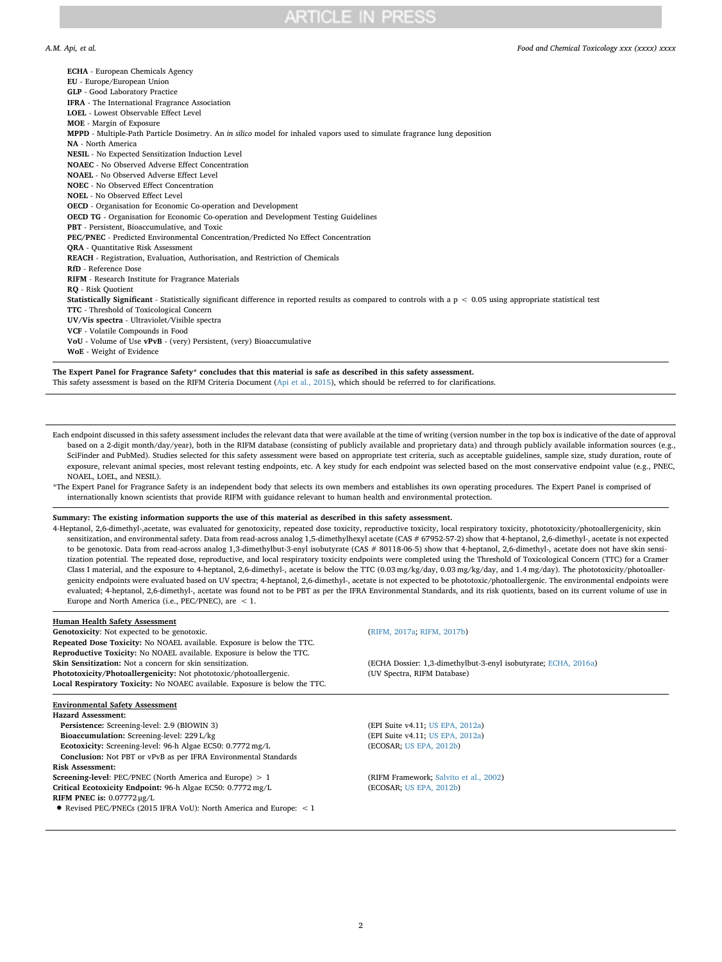*A.M. Api, et al. Food and Chemical Toxicology xxx (xxxx) xxxx*

| <b>ECHA</b> - European Chemicals Agency                                                                                                                                  |
|--------------------------------------------------------------------------------------------------------------------------------------------------------------------------|
| EU - Europe/European Union                                                                                                                                               |
| <b>GLP</b> - Good Laboratory Practice                                                                                                                                    |
| IFRA - The International Fragrance Association                                                                                                                           |
| LOEL - Lowest Observable Effect Level                                                                                                                                    |
| <b>MOE</b> - Margin of Exposure                                                                                                                                          |
| MPPD - Multiple-Path Particle Dosimetry. An in silico model for inhaled vapors used to simulate fragrance lung deposition                                                |
| NA - North America                                                                                                                                                       |
| NESIL - No Expected Sensitization Induction Level                                                                                                                        |
| NOAEC - No Observed Adverse Effect Concentration                                                                                                                         |
| <b>NOAEL</b> - No Observed Adverse Effect Level                                                                                                                          |
| <b>NOEC</b> - No Observed Effect Concentration                                                                                                                           |
| <b>NOEL - No Observed Effect Level</b>                                                                                                                                   |
| <b>OECD</b> - Organisation for Economic Co-operation and Development                                                                                                     |
| <b>OECD TG</b> - Organisation for Economic Co-operation and Development Testing Guidelines                                                                               |
| PBT - Persistent, Bioaccumulative, and Toxic                                                                                                                             |
| <b>PEC/PNEC</b> - Predicted Environmental Concentration/Predicted No Effect Concentration                                                                                |
| <b>ORA</b> - Quantitative Risk Assessment                                                                                                                                |
| REACH - Registration, Evaluation, Authorisation, and Restriction of Chemicals                                                                                            |
| RfD - Reference Dose                                                                                                                                                     |
| RIFM - Research Institute for Fragrance Materials                                                                                                                        |
| RO - Risk Ouotient                                                                                                                                                       |
| <b>Statistically Significant</b> - Statistically significant difference in reported results as compared to controls with a $p < 0.05$ using appropriate statistical test |
| <b>TTC</b> - Threshold of Toxicological Concern                                                                                                                          |
| UV/Vis spectra - Ultraviolet/Visible spectra                                                                                                                             |
| VCF - Volatile Compounds in Food                                                                                                                                         |
| VoU - Volume of Use vPvB - (very) Persistent, (very) Bioaccumulative                                                                                                     |
| <b>WoE</b> - Weight of Evidence                                                                                                                                          |
|                                                                                                                                                                          |

**The Expert Panel for Fragrance Safety\* concludes that this material is safe as described in this safety assessment.** This safety assessment is based on the RIFM Criteria Document ([Api et al., 2015](#page-7-4)), which should be referred to for clarifications.

Each endpoint discussed in this safety assessment includes the relevant data that were available at the time of writing (version number in the top box is indicative of the date of approval based on a 2-digit month/day/year), both in the RIFM database (consisting of publicly available and proprietary data) and through publicly available information sources (e.g., SciFinder and PubMed). Studies selected for this safety assessment were based on appropriate test criteria, such as acceptable guidelines, sample size, study duration, route of exposure, relevant animal species, most relevant testing endpoints, etc. A key study for each endpoint was selected based on the most conservative endpoint value (e.g., PNEC, NOAEL, LOEL, and NESIL).

\*The Expert Panel for Fragrance Safety is an independent body that selects its own members and establishes its own operating procedures. The Expert Panel is comprised of internationally known scientists that provide RIFM with guidance relevant to human health and environmental protection.

## **Summary: The existing information supports the use of this material as described in this safety assessment.**

4-Heptanol, 2,6-dimethyl-,acetate, was evaluated for genotoxicity, repeated dose toxicity, reproductive toxicity, local respiratory toxicity, phototoxicity/photoallergenicity, skin sensitization, and environmental safety. Data from read-across analog 1,5-dimethylhexyl acetate (CAS # 67952-57-2) show that 4-heptanol, 2,6-dimethyl-, acetate is not expected to be genotoxic. Data from read-across analog 1,3-dimethylbut-3-enyl isobutyrate (CAS # 80118-06-5) show that 4-heptanol, 2,6-dimethyl-, acetate does not have skin sensitization potential. The repeated dose, reproductive, and local respiratory toxicity endpoints were completed using the Threshold of Toxicological Concern (TTC) for a Cramer Class I material, and the exposure to 4-heptanol, 2,6-dimethyl-, acetate is below the TTC (0.03 mg/kg/day, 0.03 mg/kg/day, and 1.4 mg/day). The phototoxicity/photoallergenicity endpoints were evaluated based on UV spectra; 4-heptanol, 2,6-dimethyl-, acetate is not expected to be phototoxic/photoallergenic. The environmental endpoints were evaluated; 4-heptanol, 2,6-dimethyl-, acetate was found not to be PBT as per the IFRA Environmental Standards, and its risk quotients, based on its current volume of use in Europe and North America (i.e., PEC/PNEC), are < 1.

### **Human Health Safety Assessment**

**Genotoxicity:** Not expected to be genotoxic. [\(RIFM, 2017a;](#page-7-5) [RIFM, 2017b\)](#page-7-6) **Repeated Dose Toxicity:** No NOAEL available. Exposure is below the TTC. **Reproductive Toxicity:** No NOAEL available. Exposure is below the TTC. Phototoxicity/Photoallergenicity: Not phototoxic/photoallergenic. **Local Respiratory Toxicity:** No NOAEC available. Exposure is below the TTC.

## **Environmental Safety Assessment**

**Hazard Assessment: Persistence:** Screening-level: 2.9 (BIOWIN 3) (EPI Suite v4.11; [US EPA, 2012a](#page-7-8)) **Bioaccumulation:** Screening-level: 229 L/kg (EPI Suite v4.11; [US EPA, 2012a](#page-7-8)) **Ecotoxicity:** Screening-level: 96-h Algae EC50: 0.7772 mg/L (ECOSAR; [US EPA, 2012b\)](#page-7-9) **Conclusion:** Not PBT or vPvB as per IFRA Environmental Standards **Risk Assessment: Screening-level:** PEC/PNEC (North America and Europe) > 1 (RIFM Framework; [Salvito et al., 2002\)](#page-7-10) **Critical Ecotoxicity Endpoint:** 96-h Algae EC50: 0.7772 mg/L (ECOSAR; [US EPA, 2012b\)](#page-7-9) **RIFM PNEC is:** 0.07772 μg/L

• Revised PEC/PNECs (2015 IFRA VoU): North America and Europe: < 1

(ECHA Dossier: 1,3-dimethylbut-3-enyl isobutyrate; [ECHA, 2016a\)](#page-7-7)<br>(UV Spectra, RIFM Database)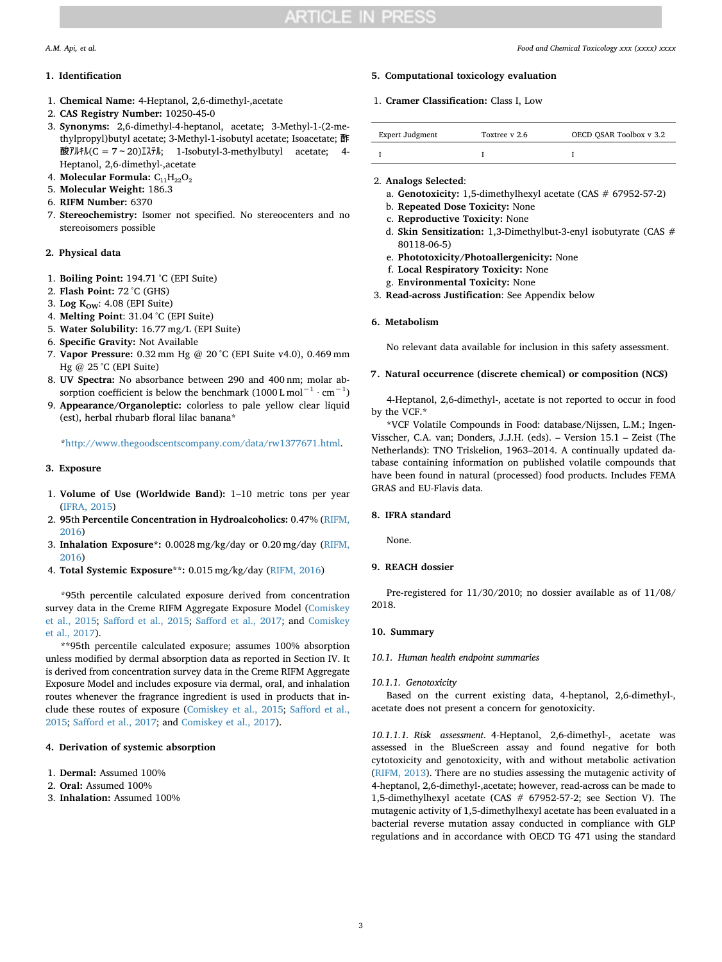## <span id="page-2-0"></span>**1. Identification**

- 1. **Chemical Name:** 4-Heptanol, 2,6-dimethyl-,acetate
- 2. **CAS Registry Number:** 10250-45-0
- 3. **Synonyms:** 2,6-dimethyl-4-heptanol, acetate; 3-Methyl-1-(2-methylpropyl)butyl acetate; 3-Methyl-1-isobutyl acetate; Isoacetate; 酢 酸アルキル(C =  $7 \sim 20$ )エステル; 1-Isobutyl-3-methylbutyl acetate; 4-Heptanol, 2,6-dimethyl-,acetate
- 4. **Molecular Formula:** C₁₁H₂₂O₂
- 5. **Molecular Weight:** 186.3
- 6. **RIFM Number:** 6370
- 7. **Stereochemistry:** Isomer not specified. No stereocenters and no stereoisomers possible

## **2. Physical data**

- 1. **Boiling Point:** 194.71 °C (EPI Suite)
- 2. **Flash Point:** 72 °C (GHS)
- 3. Log K<sub>OW</sub>: 4.08 (EPI Suite)
- 4. **Melting Point**: 31.04 °C (EPI Suite)
- 5. **Water Solubility:** 16.77 mg/L (EPI Suite)
- 6. **Specific Gravity:** Not Available
- 7. **Vapor Pressure:** 0.32 mm Hg @ 20 °C (EPI Suite v4.0), 0.469 mm Hg @ 25 °C (EPI Suite)
- 8. **UV Spectra:** No absorbance between 290 and 400 nm; molar absorption coefficient is below the benchmark (1000 L mol<sup>-1</sup> ⋅ cm<sup>-1</sup>)
- 9. **Appearance/Organoleptic:** colorless to pale yellow clear liquid (est), herbal rhubarb floral lilac banana\*

[\\*http://www.thegoodscentscompany.com/data/rw1377671.html.](http://www.thegoodscentscompany.com/data/rw1377671.html)

## **3. Exposure**

- 1. **Volume of Use (Worldwide Band):** 1–10 metric tons per year [\(IFRA, 2015\)](#page-7-11)
- 2. **95**th **Percentile Concentration in Hydroalcoholics:** 0.47% [\(RIFM,](#page-7-12) [2016](#page-7-12))
- 3. **Inhalation Exposure\*:** 0.0028 mg/kg/day or 0.20 mg/day [\(RIFM,](#page-7-12) [2016](#page-7-12))
- 4. **Total Systemic Exposure\*\*:** 0.015 mg/kg/day ([RIFM, 2016\)](#page-7-12)

\*95th percentile calculated exposure derived from concentration survey data in the Creme RIFM Aggregate Exposure Model ([Comiskey](#page-7-0) [et al., 2015;](#page-7-0) [Safford et al., 2015](#page-7-2); [Safford et al., 2017;](#page-7-3) and [Comiskey](#page-7-1) [et al., 2017](#page-7-1)).

\*\*95th percentile calculated exposure; assumes 100% absorption unless modified by dermal absorption data as reported in Section IV. It is derived from concentration survey data in the Creme RIFM Aggregate Exposure Model and includes exposure via dermal, oral, and inhalation routes whenever the fragrance ingredient is used in products that include these routes of exposure [\(Comiskey et al., 2015;](#page-7-0) [Safford et al.,](#page-7-2) [2015;](#page-7-2) [Safford et al., 2017](#page-7-3); and [Comiskey et al., 2017](#page-7-1)).

## **4. Derivation of systemic absorption**

- 1. **Dermal:** Assumed 100%
- 2. **Oral:** Assumed 100%
- 3. **Inhalation:** Assumed 100%

## **5. Computational toxicology evaluation**

1. **Cramer Classification:** Class I, Low

| Expert Judgment | Toxtree v 2.6 | OECD QSAR Toolbox v 3.2 |  |
|-----------------|---------------|-------------------------|--|
|                 |               |                         |  |

- 2. **Analogs Selected**:
	- a. **Genotoxicity:** 1,5-dimethylhexyl acetate (CAS # 67952-57-2)
	- b. **Repeated Dose Toxicity:** None
	- c. **Reproductive Toxicity:** None
	- d. **Skin Sensitization:** 1,3-Dimethylbut-3-enyl isobutyrate (CAS # 80118-06-5)
	- e. **Phototoxicity/Photoallergenicity:** None
	- f. **Local Respiratory Toxicity:** None
	- g. **Environmental Toxicity:** None
- 3. **Read-across Justification**: See Appendix below

## **6. Metabolism**

No relevant data available for inclusion in this safety assessment.

## **7. Natural occurrence (discrete chemical) or composition (NCS)**

4-Heptanol, 2,6-dimethyl-, acetate is not reported to occur in food by the VCF.\*

\*VCF Volatile Compounds in Food: database/Nijssen, L.M.; Ingen-Visscher, C.A. van; Donders, J.J.H. (eds). – Version 15.1 – Zeist (The Netherlands): TNO Triskelion, 1963–2014. A continually updated database containing information on published volatile compounds that have been found in natural (processed) food products. Includes FEMA GRAS and EU-Flavis data.

### **8. IFRA standard**

None.

## **9. REACH dossier**

Pre-registered for 11/30/2010; no dossier available as of 11/08/ 2018.

## **10. Summary**

## *10.1. Human health endpoint summaries*

## *10.1.1. Genotoxicity*

Based on the current existing data, 4-heptanol, 2,6-dimethyl-, acetate does not present a concern for genotoxicity.

*10.1.1.1. Risk assessment*. 4-Heptanol, 2,6-dimethyl-, acetate was assessed in the BlueScreen assay and found negative for both cytotoxicity and genotoxicity, with and without metabolic activation ([RIFM, 2013](#page-7-13)). There are no studies assessing the mutagenic activity of 4-heptanol, 2,6-dimethyl-,acetate; however, read-across can be made to 1,5-dimethylhexyl acetate (CAS # 67952-57-2; see Section V). The mutagenic activity of 1,5-dimethylhexyl acetate has been evaluated in a bacterial reverse mutation assay conducted in compliance with GLP regulations and in accordance with OECD TG 471 using the standard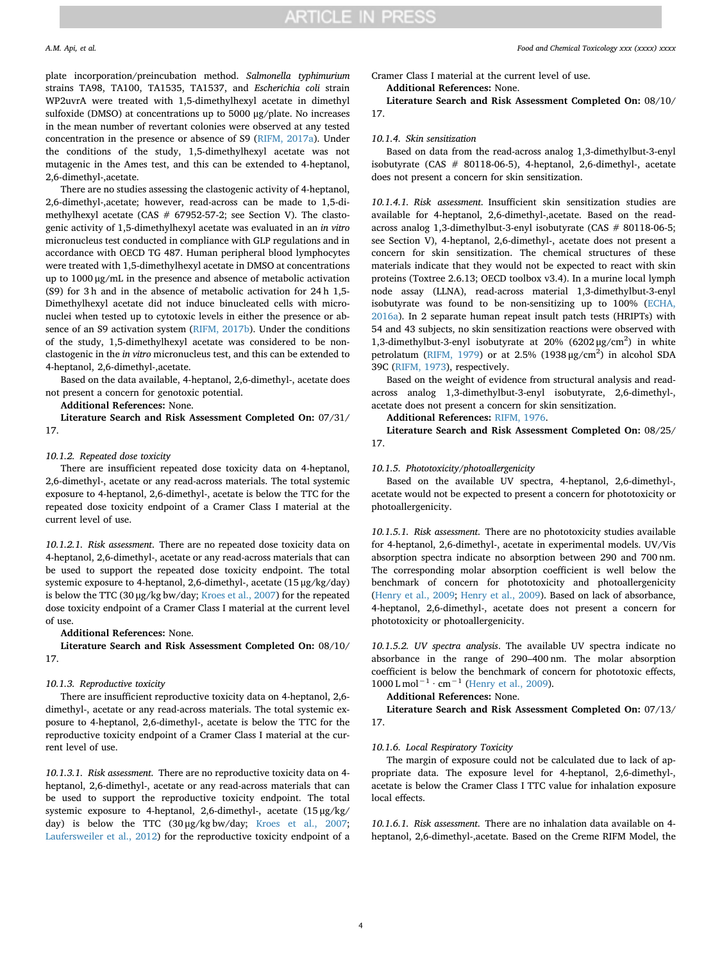plate incorporation/preincubation method. *Salmonella typhimurium* strains TA98, TA100, TA1535, TA1537, and *Escherichia coli* strain WP2uvrA were treated with 1,5-dimethylhexyl acetate in dimethyl sulfoxide (DMSO) at concentrations up to 5000 μg/plate. No increases in the mean number of revertant colonies were observed at any tested concentration in the presence or absence of S9 [\(RIFM, 2017a\)](#page-7-5). Under the conditions of the study, 1,5-dimethylhexyl acetate was not mutagenic in the Ames test, and this can be extended to 4-heptanol, 2,6-dimethyl-,acetate.

There are no studies assessing the clastogenic activity of 4-heptanol, 2,6-dimethyl-,acetate; however, read-across can be made to 1,5-dimethylhexyl acetate (CAS  $#$  67952-57-2; see Section V). The clastogenic activity of 1,5-dimethylhexyl acetate was evaluated in an *in vitro* micronucleus test conducted in compliance with GLP regulations and in accordance with OECD TG 487. Human peripheral blood lymphocytes were treated with 1,5-dimethylhexyl acetate in DMSO at concentrations up to 1000 μg/mL in the presence and absence of metabolic activation (S9) for 3 h and in the absence of metabolic activation for 24 h 1,5- Dimethylhexyl acetate did not induce binucleated cells with micronuclei when tested up to cytotoxic levels in either the presence or absence of an S9 activation system [\(RIFM, 2017b\)](#page-7-6). Under the conditions of the study, 1,5-dimethylhexyl acetate was considered to be nonclastogenic in the *in vitro* micronucleus test, and this can be extended to 4-heptanol, 2,6-dimethyl-,acetate.

Based on the data available, 4-heptanol, 2,6-dimethyl-, acetate does not present a concern for genotoxic potential.

**Additional References:** None.

**Literature Search and Risk Assessment Completed On:** 07/31/ 17.

## *10.1.2. Repeated dose toxicity*

There are insufficient repeated dose toxicity data on 4-heptanol, 2,6-dimethyl-, acetate or any read-across materials. The total systemic exposure to 4-heptanol, 2,6-dimethyl-, acetate is below the TTC for the repeated dose toxicity endpoint of a Cramer Class I material at the current level of use.

*10.1.2.1. Risk assessment*. There are no repeated dose toxicity data on 4-heptanol, 2,6-dimethyl-, acetate or any read-across materials that can be used to support the repeated dose toxicity endpoint. The total systemic exposure to 4-heptanol, 2,6-dimethyl-, acetate (15 μg/kg/day) is below the TTC (30 μg/kg bw/day; [Kroes et al., 2007\)](#page-7-14) for the repeated dose toxicity endpoint of a Cramer Class I material at the current level of use.

## **Additional References:** None.

**Literature Search and Risk Assessment Completed On:** 08/10/ 17.

### *10.1.3. Reproductive toxicity*

There are insufficient reproductive toxicity data on 4-heptanol, 2,6 dimethyl-, acetate or any read-across materials. The total systemic exposure to 4-heptanol, 2,6-dimethyl-, acetate is below the TTC for the reproductive toxicity endpoint of a Cramer Class I material at the current level of use.

*10.1.3.1. Risk assessment*. There are no reproductive toxicity data on 4 heptanol, 2,6-dimethyl-, acetate or any read-across materials that can be used to support the reproductive toxicity endpoint. The total systemic exposure to 4-heptanol, 2,6-dimethyl-, acetate (15 μg/kg/ day) is below the TTC (30 μg/kg bw/day; [Kroes et al., 2007](#page-7-14); [Laufersweiler et al., 2012\)](#page-7-15) for the reproductive toxicity endpoint of a

Cramer Class I material at the current level of use.

**Additional References:** None.

**Literature Search and Risk Assessment Completed On:** 08/10/ 17.

## *10.1.4. Skin sensitization*

Based on data from the read-across analog 1,3-dimethylbut-3-enyl isobutyrate (CAS # 80118-06-5), 4-heptanol, 2,6-dimethyl-, acetate does not present a concern for skin sensitization.

*10.1.4.1. Risk assessment*. Insufficient skin sensitization studies are available for 4-heptanol, 2,6-dimethyl-,acetate. Based on the readacross analog 1,3-dimethylbut-3-enyl isobutyrate (CAS # 80118-06-5; see Section V), 4-heptanol, 2,6-dimethyl-, acetate does not present a concern for skin sensitization. The chemical structures of these materials indicate that they would not be expected to react with skin proteins (Toxtree 2.6.13; OECD toolbox v3.4). In a murine local lymph node assay (LLNA), read-across material 1,3-dimethylbut-3-enyl isobutyrate was found to be non-sensitizing up to 100% ([ECHA,](#page-7-7) [2016a\)](#page-7-7). In 2 separate human repeat insult patch tests (HRIPTs) with 54 and 43 subjects, no skin sensitization reactions were observed with 1,3-dimethylbut-3-enyl isobutyrate at 20% (6202 μg/cm<sup>2</sup>) in white petrolatum [\(RIFM, 1979\)](#page-7-16) or at 2.5% (1938  $\mu$ g/cm<sup>2</sup>) in alcohol SDA 39C [\(RIFM, 1973](#page-7-17)), respectively.

Based on the weight of evidence from structural analysis and readacross analog 1,3-dimethylbut-3-enyl isobutyrate, 2,6-dimethyl-, acetate does not present a concern for skin sensitization.

## **Additional References:** [RIFM, 1976](#page-7-18).

**Literature Search and Risk Assessment Completed On:** 08/25/ 17.

## *10.1.5. Phototoxicity/photoallergenicity*

Based on the available UV spectra, 4-heptanol, 2,6-dimethyl-, acetate would not be expected to present a concern for phototoxicity or photoallergenicity.

*10.1.5.1. Risk assessment*. There are no phototoxicity studies available for 4-heptanol, 2,6-dimethyl-, acetate in experimental models. UV/Vis absorption spectra indicate no absorption between 290 and 700 nm. The corresponding molar absorption coefficient is well below the benchmark of concern for phototoxicity and photoallergenicity ([Henry et al., 2009](#page-7-19); [Henry et al., 2009\)](#page-7-19). Based on lack of absorbance, 4-heptanol, 2,6-dimethyl-, acetate does not present a concern for phototoxicity or photoallergenicity.

*10.1.5.2. UV spectra analysis*. The available UV spectra indicate no absorbance in the range of 290–400 nm. The molar absorption coefficient is below the benchmark of concern for phototoxic effects,  $1000 \text{ L mol}^{-1} \cdot \text{cm}^{-1}$  [\(Henry et al., 2009](#page-7-19)).

## **Additional References:** None.

**Literature Search and Risk Assessment Completed On:** 07/13/ 17.

## *10.1.6. Local Respiratory Toxicity*

The margin of exposure could not be calculated due to lack of appropriate data. The exposure level for 4-heptanol, 2,6-dimethyl-, acetate is below the Cramer Class I TTC value for inhalation exposure local effects.

*10.1.6.1. Risk assessment*. There are no inhalation data available on 4 heptanol, 2,6-dimethyl-,acetate. Based on the Creme RIFM Model, the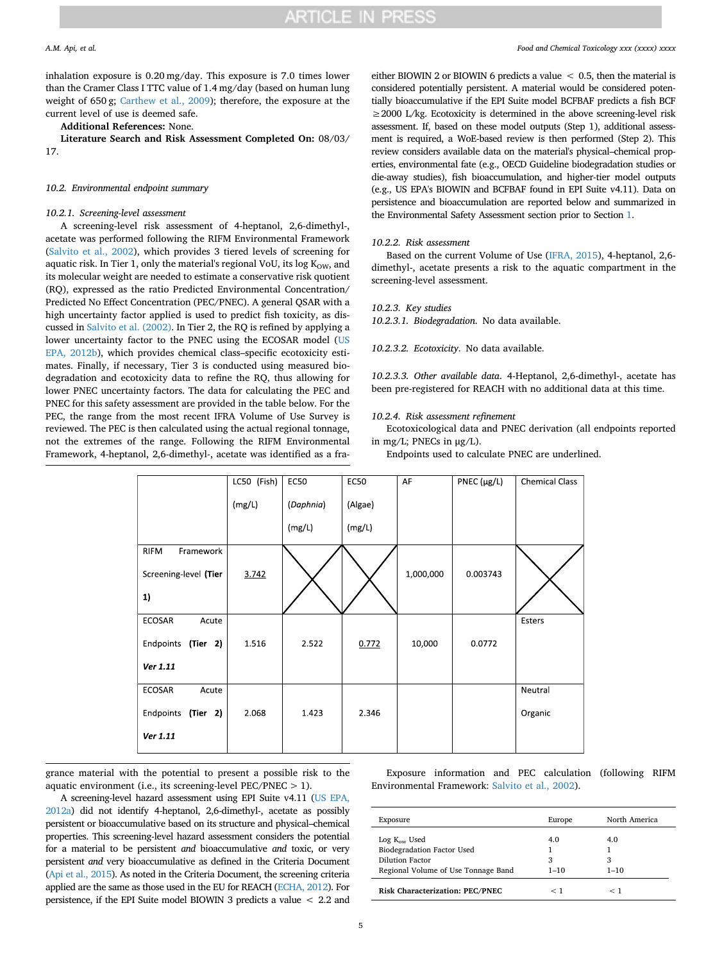inhalation exposure is 0.20 mg/day. This exposure is 7.0 times lower than the Cramer Class I TTC value of 1.4 mg/day (based on human lung weight of 650 g; [Carthew et al., 2009](#page-7-20)); therefore, the exposure at the current level of use is deemed safe.

## **Additional References:** None.

**Literature Search and Risk Assessment Completed On:** 08/03/ 17.

## *10.2. Environmental endpoint summary*

## *10.2.1. Screening-level assessment*

A screening-level risk assessment of 4-heptanol, 2,6-dimethyl-, acetate was performed following the RIFM Environmental Framework ([Salvito et al., 2002](#page-7-10)), which provides 3 tiered levels of screening for aquatic risk. In Tier 1, only the material's regional VoU, its log  $K<sub>OW</sub>$ , and its molecular weight are needed to estimate a conservative risk quotient (RQ), expressed as the ratio Predicted Environmental Concentration/ Predicted No Effect Concentration (PEC/PNEC). A general QSAR with a high uncertainty factor applied is used to predict fish toxicity, as discussed in [Salvito et al. \(2002\)](#page-7-10). In Tier 2, the RQ is refined by applying a lower uncertainty factor to the PNEC using the ECOSAR model ([US](#page-7-9) [EPA, 2012b](#page-7-9)), which provides chemical class–specific ecotoxicity estimates. Finally, if necessary, Tier 3 is conducted using measured biodegradation and ecotoxicity data to refine the RQ, thus allowing for lower PNEC uncertainty factors. The data for calculating the PEC and PNEC for this safety assessment are provided in the table below. For the PEC, the range from the most recent IFRA Volume of Use Survey is reviewed. The PEC is then calculated using the actual regional tonnage, not the extremes of the range. Following the RIFM Environmental Framework, 4-heptanol, 2,6-dimethyl-, acetate was identified as a fra-

either BIOWIN 2 or BIOWIN 6 predicts a value < 0.5, then the material is considered potentially persistent. A material would be considered potentially bioaccumulative if the EPI Suite model BCFBAF predicts a fish BCF ≥2000 L/kg. Ecotoxicity is determined in the above screening-level risk assessment. If, based on these model outputs (Step 1), additional assessment is required, a WoE-based review is then performed (Step 2). This review considers available data on the material's physical–chemical properties, environmental fate (e.g., OECD Guideline biodegradation studies or die-away studies), fish bioaccumulation, and higher-tier model outputs (e.g., US EPA's BIOWIN and BCFBAF found in EPI Suite v4.11). Data on persistence and bioaccumulation are reported below and summarized in the Environmental Safety Assessment section prior to Section [1](#page-2-0).

## *10.2.2. Risk assessment*

Based on the current Volume of Use [\(IFRA, 2015](#page-7-11)), 4-heptanol, 2,6 dimethyl-, acetate presents a risk to the aquatic compartment in the screening-level assessment.

## *10.2.3. Key studies*

*10.2.3.1. Biodegradation*. No data available.

### *10.2.3.2. Ecotoxicity*. No data available.

*10.2.3.3. Other available data*. 4-Heptanol, 2,6-dimethyl-, acetate has been pre-registered for REACH with no additional data at this time.

## *10.2.4. Risk assessment refinement*

Ecotoxicological data and PNEC derivation (all endpoints reported in mg/L; PNECs in μg/L).

Endpoints used to calculate PNEC are underlined.

|                          | LC50 (Fish) | <b>EC50</b> | <b>EC50</b> | AF        | PNEC $(\mu g/L)$ | <b>Chemical Class</b> |
|--------------------------|-------------|-------------|-------------|-----------|------------------|-----------------------|
|                          | (mg/L)      | (Daphnia)   | (Algae)     |           |                  |                       |
|                          |             | (mg/L)      | (mg/L)      |           |                  |                       |
| Framework<br><b>RIFM</b> |             |             |             |           |                  |                       |
| Screening-level (Tier    | 3.742       |             |             | 1,000,000 | 0.003743         |                       |
| 1)                       |             |             |             |           |                  |                       |
| ECOSAR<br>Acute          |             |             |             |           |                  | Esters                |
| Endpoints<br>(Tier 2)    | 1.516       | 2.522       | 0.772       | 10,000    | 0.0772           |                       |
| Ver 1.11                 |             |             |             |           |                  |                       |
| ECOSAR<br>Acute          |             |             |             |           |                  | Neutral               |
| Endpoints<br>(Tier 2)    | 2.068       | 1.423       | 2.346       |           |                  | Organic               |
| Ver 1.11                 |             |             |             |           |                  |                       |

grance material with the potential to present a possible risk to the aquatic environment (i.e., its screening-level PEC/PNEC > 1).

A screening-level hazard assessment using EPI Suite v4.11 ([US EPA,](#page-7-8) [2012a\)](#page-7-8) did not identify 4-heptanol, 2,6-dimethyl-, acetate as possibly persistent or bioaccumulative based on its structure and physical–chemical properties. This screening-level hazard assessment considers the potential for a material to be persistent *and* bioaccumulative *and* toxic, or very persistent *and* very bioaccumulative as defined in the Criteria Document [\(Api et al., 2015](#page-7-4)). As noted in the Criteria Document, the screening criteria applied are the same as those used in the EU for REACH [\(ECHA, 2012](#page-7-21)). For persistence, if the EPI Suite model BIOWIN 3 predicts a value < 2.2 and

Exposure information and PEC calculation (following RIFM Environmental Framework: [Salvito et al., 2002](#page-7-10)).

| Exposure                               | Europe   | North America |
|----------------------------------------|----------|---------------|
| $Log K_{ow}$ Used                      | 4.0      | 4.0           |
| Biodegradation Factor Used             |          |               |
| Dilution Factor                        | 3        | 3             |
| Regional Volume of Use Tonnage Band    | $1 - 10$ | $1 - 10$      |
| <b>Risk Characterization: PEC/PNEC</b> | ╭        |               |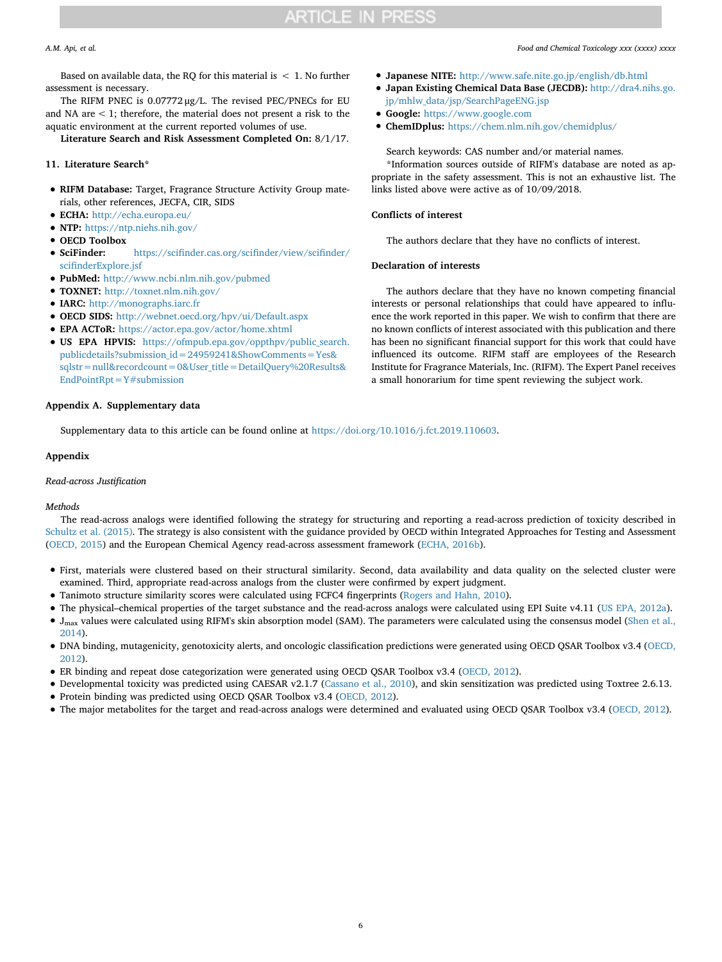Based on available data, the RQ for this material is  $\leq 1$ . No further assessment is necessary.

The RIFM PNEC is 0.07772 μg/L. The revised PEC/PNECs for EU and NA are < 1; therefore, the material does not present a risk to the aquatic environment at the current reported volumes of use.

**Literature Search and Risk Assessment Completed On:** 8/1/17.

## **11. Literature Search\***

- **RIFM Database:** Target, Fragrance Structure Activity Group materials, other references, JECFA, CIR, SIDS
- **ECHA:** <http://echa.europa.eu/>
- **NTP:** <https://ntp.niehs.nih.gov/>
- 
- **OECD Toolbox** • **SciFinder:** [https://scifinder.cas.org/scifinder/view/scifinder/](https://scifinder.cas.org/scifinder/view/scifinder/scifinderExplore.jsf) [scifinderExplore.jsf](https://scifinder.cas.org/scifinder/view/scifinder/scifinderExplore.jsf)
- **PubMed:** <http://www.ncbi.nlm.nih.gov/pubmed>
- **TOXNET:** <http://toxnet.nlm.nih.gov/>
- **IARC:** <http://monographs.iarc.fr>
- **OECD SIDS:** <http://webnet.oecd.org/hpv/ui/Default.aspx>
- **EPA ACToR:** <https://actor.epa.gov/actor/home.xhtml>
- **US EPA HPVIS:** [https://ofmpub.epa.gov/oppthpv/public\\_search.](https://ofmpub.epa.gov/oppthpv/public_search.publicdetails?submission_id=24959241&ShowComments=Yes&sqlstr=null&recordcount=0&User_title=DetailQuery%20Results&EndPointRpt=Y#submission) [publicdetails?submission\\_id=24959241&ShowComments=Yes&](https://ofmpub.epa.gov/oppthpv/public_search.publicdetails?submission_id=24959241&ShowComments=Yes&sqlstr=null&recordcount=0&User_title=DetailQuery%20Results&EndPointRpt=Y#submission) [sqlstr=null&recordcount=0&User\\_title=DetailQuery%20Results&](https://ofmpub.epa.gov/oppthpv/public_search.publicdetails?submission_id=24959241&ShowComments=Yes&sqlstr=null&recordcount=0&User_title=DetailQuery%20Results&EndPointRpt=Y#submission) [EndPointRpt=Y#submission](https://ofmpub.epa.gov/oppthpv/public_search.publicdetails?submission_id=24959241&ShowComments=Yes&sqlstr=null&recordcount=0&User_title=DetailQuery%20Results&EndPointRpt=Y#submission)

## **Appendix A. Supplementary data**

Supplementary data to this article can be found online at [https://doi.org/10.1016/j.fct.2019.110603.](https://doi.org/10.1016/j.fct.2019.110603)

## **Appendix**

## *Read-across Justification*

## *Methods*

The read-across analogs were identified following the strategy for structuring and reporting a read-across prediction of toxicity described in [Schultz et al. \(2015\)](#page-7-22). The strategy is also consistent with the guidance provided by OECD within Integrated Approaches for Testing and Assessment ([OECD, 2015](#page-7-23)) and the European Chemical Agency read-across assessment framework ([ECHA, 2016b\)](#page-7-24).

- First, materials were clustered based on their structural similarity. Second, data availability and data quality on the selected cluster were examined. Third, appropriate read-across analogs from the cluster were confirmed by expert judgment.
- Tanimoto structure similarity scores were calculated using FCFC4 fingerprints ([Rogers and Hahn, 2010](#page-7-25)).
- The physical–chemical properties of the target substance and the read-across analogs were calculated using EPI Suite v4.11 ([US EPA, 2012a\)](#page-7-8).
- $\bullet$  J<sub>max</sub> values were calculated using RIFM's skin absorption model (SAM). The parameters were calculated using the consensus model [\(Shen et al.,](#page-7-26) [2014](#page-7-26)).
- DNA binding, mutagenicity, genotoxicity alerts, and oncologic classification predictions were generated using OECD QSAR Toolbox v3.4 [\(OECD,](#page-7-27) [2012](#page-7-27)).
- ER binding and repeat dose categorization were generated using OECD QSAR Toolbox v3.4 [\(OECD, 2012](#page-7-27)).
- Developmental toxicity was predicted using CAESAR v2.1.7 ([Cassano et al., 2010\)](#page-7-28), and skin sensitization was predicted using Toxtree 2.6.13.
- Protein binding was predicted using OECD QSAR Toolbox v3.4 [\(OECD, 2012\)](#page-7-27).
- The major metabolites for the target and read-across analogs were determined and evaluated using OECD QSAR Toolbox v3.4 [\(OECD, 2012](#page-7-27)).
- *A.M. Api, et al. Food and Chemical Toxicology xxx (xxxx) xxxx*
	- **Japanese NITE:** <http://www.safe.nite.go.jp/english/db.html>
	- **Japan Existing Chemical Data Base (JECDB):** [http://dra4.nihs.go.](http://dra4.nihs.go.jp/mhlw_data/jsp/SearchPageENG.jsp) [jp/mhlw\\_data/jsp/SearchPageENG.jsp](http://dra4.nihs.go.jp/mhlw_data/jsp/SearchPageENG.jsp)
	- **Google:** <https://www.google.com>
	- **ChemIDplus:** <https://chem.nlm.nih.gov/chemidplus/>

## Search keywords: CAS number and/or material names.

\*Information sources outside of RIFM's database are noted as appropriate in the safety assessment. This is not an exhaustive list. The links listed above were active as of 10/09/2018.

## **Conflicts of interest**

The authors declare that they have no conflicts of interest.

## **Declaration of interests**

The authors declare that they have no known competing financial interests or personal relationships that could have appeared to influence the work reported in this paper. We wish to confirm that there are no known conflicts of interest associated with this publication and there has been no significant financial support for this work that could have influenced its outcome. RIFM staff are employees of the Research Institute for Fragrance Materials, Inc. (RIFM). The Expert Panel receives a small honorarium for time spent reviewing the subject work.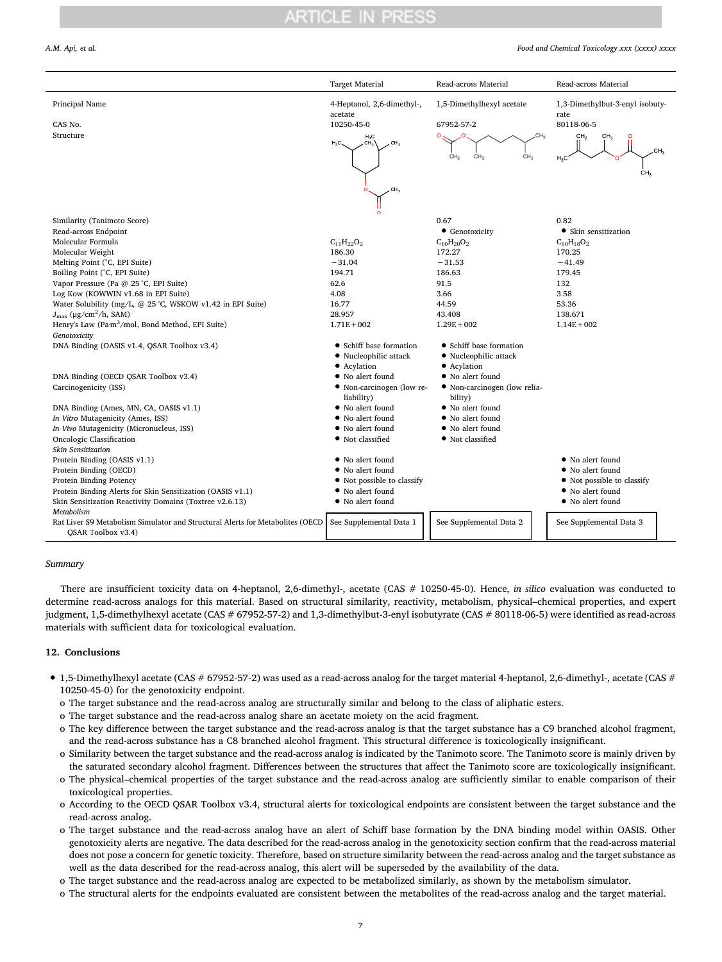### *A.M. Api, et al. Food and Chemical Toxicology xxx (xxxx) xxxx*

|                                                                                                                             | <b>Target Material</b>                                                    | Read-across Material                                         | Read-across Material                                            |
|-----------------------------------------------------------------------------------------------------------------------------|---------------------------------------------------------------------------|--------------------------------------------------------------|-----------------------------------------------------------------|
| Principal Name                                                                                                              | 4-Heptanol, 2,6-dimethyl-,<br>acetate                                     | 1,5-Dimethylhexyl acetate                                    | 1,3-Dimethylbut-3-enyl isobuty-<br>rate                         |
| CAS No.                                                                                                                     | 10250-45-0                                                                | 67952-57-2                                                   | 80118-06-5                                                      |
| Structure                                                                                                                   | $H_3C$<br>$H_3C$<br>CH <sub>3</sub><br>CH <sub>3</sub><br>CH <sub>3</sub> | CH-<br>CH <sub>3</sub><br>CH <sub>3</sub><br>CH <sub>3</sub> | CH <sub>2</sub><br>CH <sub>2</sub><br>$H_2C$<br>CH <sub>3</sub> |
|                                                                                                                             | Ō                                                                         |                                                              |                                                                 |
| Similarity (Tanimoto Score)                                                                                                 |                                                                           | 0.67                                                         | 0.82                                                            |
| Read-across Endpoint                                                                                                        |                                                                           | • Genotoxicity                                               | • Skin sensitization                                            |
| Molecular Formula                                                                                                           | $C_{11}H_{22}O_2$                                                         | $C_{10}H_{20}O_2$                                            | $C_{10}H_{18}O_2$                                               |
| Molecular Weight                                                                                                            | 186.30                                                                    | 172.27                                                       | 170.25                                                          |
| Melting Point (°C, EPI Suite)                                                                                               | $-31.04$                                                                  | $-31.53$                                                     | $-41.49$                                                        |
| Boiling Point (°C, EPI Suite)                                                                                               | 194.71                                                                    | 186.63                                                       | 179.45                                                          |
| Vapor Pressure (Pa @ 25 °C, EPI Suite)                                                                                      | 62.6                                                                      | 91.5                                                         | 132                                                             |
| Log Kow (KOWWIN v1.68 in EPI Suite)                                                                                         | 4.08                                                                      | 3.66                                                         | 3.58                                                            |
| Water Solubility (mg/L, @ 25 °C, WSKOW v1.42 in EPI Suite)                                                                  | 16.77                                                                     | 44.59                                                        | 53.36                                                           |
| $J_{\text{max}}$ (µg/cm <sup>2</sup> /h, SAM)                                                                               | 28.957                                                                    | 43.408                                                       | 138.671                                                         |
| Henry's Law (Pa·m <sup>3</sup> /mol, Bond Method, EPI Suite)                                                                | $1.71E + 002$                                                             | $1.29E + 002$                                                | $1.14E + 002$                                                   |
| Genotoxicity                                                                                                                |                                                                           |                                                              |                                                                 |
| DNA Binding (OASIS v1.4, QSAR Toolbox v3.4)                                                                                 | • Schiff base formation                                                   | • Schiff base formation                                      |                                                                 |
|                                                                                                                             | • Nucleophilic attack                                                     | · Nucleophilic attack                                        |                                                                 |
|                                                                                                                             | • Acylation                                                               | • Acylation                                                  |                                                                 |
| DNA Binding (OECD QSAR Toolbox v3.4)                                                                                        | • No alert found                                                          | • No alert found                                             |                                                                 |
| Carcinogenicity (ISS)                                                                                                       | • Non-carcinogen (low re-<br>liability)                                   | • Non-carcinogen (low relia-<br>bility)                      |                                                                 |
| DNA Binding (Ames, MN, CA, OASIS v1.1)                                                                                      | • No alert found                                                          | • No alert found                                             |                                                                 |
| In Vitro Mutagenicity (Ames, ISS)                                                                                           | • No alert found                                                          | • No alert found                                             |                                                                 |
| In Vivo Mutagenicity (Micronucleus, ISS)                                                                                    | • No alert found                                                          | • No alert found                                             |                                                                 |
| Oncologic Classification                                                                                                    | • Not classified                                                          | • Not classified                                             |                                                                 |
| Skin Sensitization                                                                                                          |                                                                           |                                                              |                                                                 |
| Protein Binding (OASIS v1.1)                                                                                                | • No alert found                                                          |                                                              | • No alert found                                                |
| Protein Binding (OECD)                                                                                                      | • No alert found                                                          |                                                              | • No alert found                                                |
| Protein Binding Potency                                                                                                     | • Not possible to classify                                                |                                                              | • Not possible to classify                                      |
| Protein Binding Alerts for Skin Sensitization (OASIS v1.1)                                                                  | • No alert found                                                          |                                                              | • No alert found                                                |
| Skin Sensitization Reactivity Domains (Toxtree v2.6.13)<br>Metabolism                                                       | • No alert found                                                          |                                                              | • No alert found                                                |
| Rat Liver S9 Metabolism Simulator and Structural Alerts for Metabolites (OECD See Supplemental Data 1<br>OSAR Toolbox v3.4) |                                                                           | See Supplemental Data 2                                      | See Supplemental Data 3                                         |

## *Summary*

There are insufficient toxicity data on 4-heptanol, 2,6-dimethyl-, acetate (CAS # 10250-45-0). Hence, *in silico* evaluation was conducted to determine read-across analogs for this material. Based on structural similarity, reactivity, metabolism, physical–chemical properties, and expert judgment, 1,5-dimethylhexyl acetate (CAS # 67952-57-2) and 1,3-dimethylbut-3-enyl isobutyrate (CAS # 80118-06-5) were identified as read-across materials with sufficient data for toxicological evaluation.

## **12. Conclusions**

- 1,5-Dimethylhexyl acetate (CAS # 67952-57-2) was used as a read-across analog for the target material 4-heptanol, 2,6-dimethyl-, acetate (CAS # 10250-45-0) for the genotoxicity endpoint.
	- o The target substance and the read-across analog are structurally similar and belong to the class of aliphatic esters.
	- o The target substance and the read-across analog share an acetate moiety on the acid fragment.
	- o The key difference between the target substance and the read-across analog is that the target substance has a C9 branched alcohol fragment, and the read-across substance has a C8 branched alcohol fragment. This structural difference is toxicologically insignificant.
	- o Similarity between the target substance and the read-across analog is indicated by the Tanimoto score. The Tanimoto score is mainly driven by the saturated secondary alcohol fragment. Differences between the structures that affect the Tanimoto score are toxicologically insignificant.
	- o The physical–chemical properties of the target substance and the read-across analog are sufficiently similar to enable comparison of their toxicological properties.
	- o According to the OECD QSAR Toolbox v3.4, structural alerts for toxicological endpoints are consistent between the target substance and the read-across analog.
	- o The target substance and the read-across analog have an alert of Schiff base formation by the DNA binding model within OASIS. Other genotoxicity alerts are negative. The data described for the read-across analog in the genotoxicity section confirm that the read-across material does not pose a concern for genetic toxicity. Therefore, based on structure similarity between the read-across analog and the target substance as well as the data described for the read-across analog, this alert will be superseded by the availability of the data.
	- o The target substance and the read-across analog are expected to be metabolized similarly, as shown by the metabolism simulator.
	- o The structural alerts for the endpoints evaluated are consistent between the metabolites of the read-across analog and the target material.